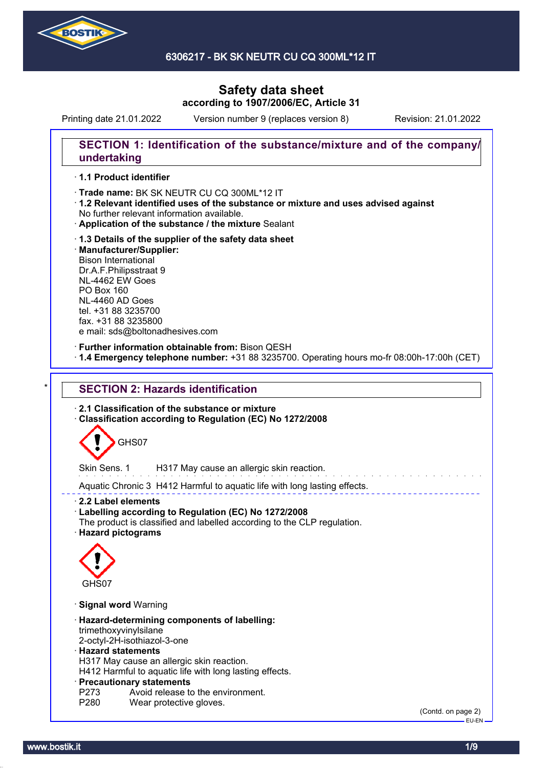

Printing date 21.01.2022 Version number 9 (replaces version 8) Revision: 21.01.2022

### **SECTION 1: Identification of the substance/mixture and of the company/ undertaking**

#### · **1.1 Product identifier**

· Trade name: BK SK NEUTR CU CQ 300ML\*12 IT

- · **1.2 Relevant identified uses of the substance or mixture and uses advised against** No further relevant information available.
- · **Application of the substance / the mixture** Sealant
- · **1.3 Details of the supplier of the safety data sheet** · **Manufacturer/Supplier:** Bison International Dr.A.F.Philipsstraat 9 NL-4462 EW Goes PO Box 160 NL-4460 AD Goes tel. +31 88 3235700 fax. +31 88 3235800 e mail: sds@boltonadhesives.com

#### · **Further information obtainable from:** Bison QESH

· **1.4 Emergency telephone number:** +31 88 3235700. Operating hours mo-fr 08:00h-17:00h (CET)

# **SECTION 2: Hazards identification**

· **2.1 Classification of the substance or mixture**

· **Classification according to Regulation (EC) No 1272/2008**



Skin Sens. 1 H317 May cause an allergic skin reaction.

Aquatic Chronic 3 H412 Harmful to aquatic life with long lasting effects.

· **2.2 Label elements**

- · **Labelling according to Regulation (EC) No 1272/2008**
- The product is classified and labelled according to the CLP regulation.
- · **Hazard pictograms**



- · **Signal word** Warning
- · **Hazard-determining components of labelling:** trimethoxyvinylsilane
- 2-octyl-2H-isothiazol-3-one

#### · **Hazard statements**

H317 May cause an allergic skin reaction.

H412 Harmful to aquatic life with long lasting effects.

#### · **Precautionary statements**

- P273 Avoid release to the environment.<br>P280 Wear protective gloves.
- Wear protective gloves.

(Contd. on page 2) EU-EN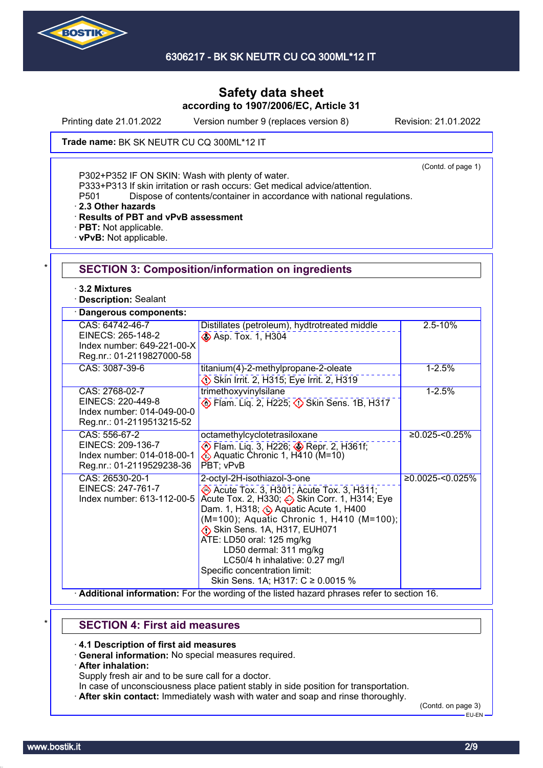

Printing date 21.01.2022 Version number 9 (replaces version 8) Revision: 21.01.2022

Trade name: BK SK NEUTR CU CQ 300ML\*12 IT

(Contd. of page 1)

P302+P352 IF ON SKIN: Wash with plenty of water.

P333+P313 If skin irritation or rash occurs: Get medical advice/attention.

P501 Dispose of contents/container in accordance with national regulations.

· **2.3 Other hazards**

· **Results of PBT and vPvB assessment**

- · **PBT:** Not applicable.
- · **vPvB:** Not applicable.

| $\cdot$ 3.2 Mixtures<br><b>Description: Sealant</b>                                             |                                                                                                                                                                                                                                                                                                                                                                                                         |                     |
|-------------------------------------------------------------------------------------------------|---------------------------------------------------------------------------------------------------------------------------------------------------------------------------------------------------------------------------------------------------------------------------------------------------------------------------------------------------------------------------------------------------------|---------------------|
| Dangerous components:                                                                           |                                                                                                                                                                                                                                                                                                                                                                                                         |                     |
| CAS: 64742-46-7<br>EINECS: 265-148-2<br>Index number: 649-221-00-X<br>Reg.nr.: 01-2119827000-58 | Distillates (petroleum), hydtrotreated middle<br>Asp. Tox. 1, H304                                                                                                                                                                                                                                                                                                                                      | $2.5 - 10%$         |
| CAS: 3087-39-6                                                                                  | titanium(4)-2-methylpropane-2-oleate<br>Skin Irrit. 2, H315; Eye Irrit. 2, H319                                                                                                                                                                                                                                                                                                                         | $1 - 2.5%$          |
| CAS: 2768-02-7<br>EINECS: 220-449-8<br>Index number: 014-049-00-0<br>Reg.nr.: 01-2119513215-52  | trimethoxyvinylsilane<br>Flam. Liq. 2, H225; 3 Skin Sens. 1B, H317                                                                                                                                                                                                                                                                                                                                      | $1 - 2.5%$          |
| CAS: 556-67-2<br>EINECS: 209-136-7<br>Index number: 014-018-00-1<br>Reg.nr.: 01-2119529238-36   | octamethylcyclotetrasiloxane<br>Flam. Liq. 3, H226; Sepr. 2, H361f;<br>PBT; vPvB                                                                                                                                                                                                                                                                                                                        | $≥0.025 - 50.25%$   |
| CAS: 26530-20-1<br>EINECS: 247-761-7<br>Index number: 613-112-00-5                              | 2-octyl-2H-isothiazol-3-one<br>Acute Tox. 3, H301; Acute Tox. 3, H311;<br>Acute Tox. 2, H330; Skin Corr. 1, H314; Eye<br>Dam. 1, H318; Aquatic Acute 1, H400<br>(M=100); Aquatic Chronic 1, H410 (M=100);<br>Skin Sens. 1A, H317, EUH071<br>ATE: LD50 oral: 125 mg/kg<br>LD50 dermal: 311 mg/kg<br>LC50/4 h inhalative: 0.27 mg/l<br>Specific concentration limit:<br>Skin Sens. 1A; H317: C ≥ 0.0015 % | $≥0.0025 - 50.025%$ |

# \* **SECTION 4: First aid measures**

· **4.1 Description of first aid measures**

- · **General information:** No special measures required.
- · **After inhalation:**

Supply fresh air and to be sure call for a doctor.

- In case of unconsciousness place patient stably in side position for transportation.
- · **After skin contact:** Immediately wash with water and soap and rinse thoroughly.

(Contd. on page 3) EU-EN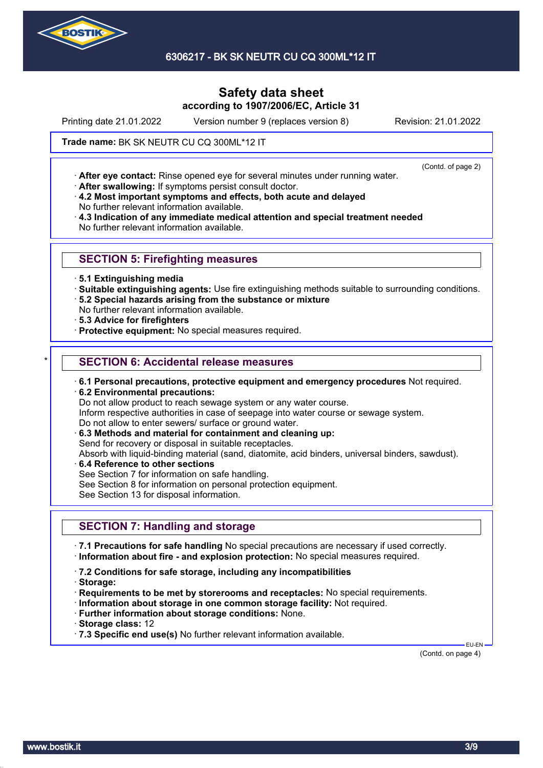

6306217 - BK SK NEUTR CU CQ 300ML\*12 IT

# **Safety data sheet according to 1907/2006/EC, Article 31**

Printing date 21.01.2022 Version number 9 (replaces version 8) Revision: 21.01.2022

(Contd. of page 2)

Trade name: BK SK NEUTR CU CQ 300ML\*12 IT

· **After eye contact:** Rinse opened eye for several minutes under running water.

· **After swallowing:** If symptoms persist consult doctor.

· **4.2 Most important symptoms and effects, both acute and delayed** No further relevant information available.

· **4.3 Indication of any immediate medical attention and special treatment needed** No further relevant information available.

### **SECTION 5: Firefighting measures**

- · **5.1 Extinguishing media**
- · **Suitable extinguishing agents:** Use fire extinguishing methods suitable to surrounding conditions.
- · **5.2 Special hazards arising from the substance or mixture**
- No further relevant information available.
- · **5.3 Advice for firefighters**
- · **Protective equipment:** No special measures required.

### **SECTION 6: Accidental release measures**

- · **6.1 Personal precautions, protective equipment and emergency procedures** Not required.
- · **6.2 Environmental precautions:**
- Do not allow product to reach sewage system or any water course.
- Inform respective authorities in case of seepage into water course or sewage system.
- Do not allow to enter sewers/ surface or ground water.
- · **6.3 Methods and material for containment and cleaning up:**
- Send for recovery or disposal in suitable receptacles.

Absorb with liquid-binding material (sand, diatomite, acid binders, universal binders, sawdust).

- · **6.4 Reference to other sections**
- See Section 7 for information on safe handling.
- See Section 8 for information on personal protection equipment.

See Section 13 for disposal information.

# **SECTION 7: Handling and storage**

· **7.1 Precautions for safe handling** No special precautions are necessary if used correctly. · **Information about fire - and explosion protection:** No special measures required.

- · **7.2 Conditions for safe storage, including any incompatibilities**
- · **Storage:**
- · **Requirements to be met by storerooms and receptacles:** No special requirements.
- · **Information about storage in one common storage facility:** Not required.
- · **Further information about storage conditions:** None.
- · **Storage class:** 12
- · **7.3 Specific end use(s)** No further relevant information available.

(Contd. on page 4)

EU-EN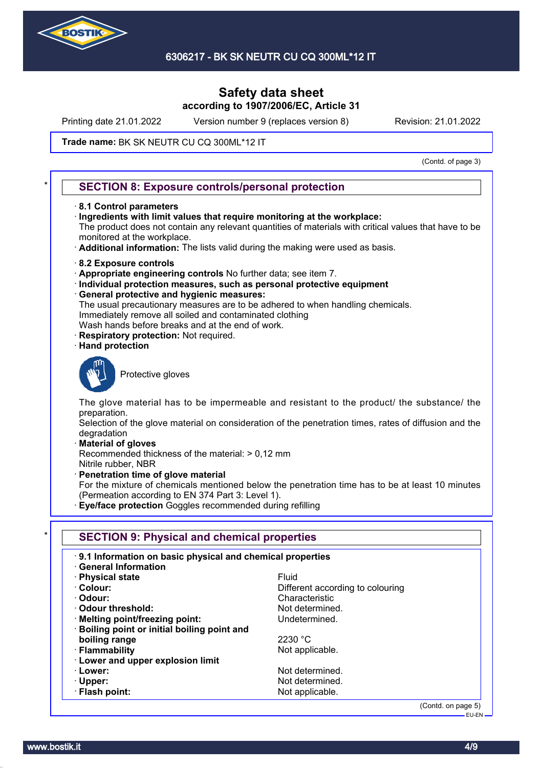

Printing date 21.01.2022 Version number 9 (replaces version 8) Revision: 21.01.2022

#### Trade name: BK SK NEUTR CU CQ 300ML\*12 IT

(Contd. of page 3)

#### **SECTION 8: Exposure controls/personal protection**

- · **8.1 Control parameters**
- · **Ingredients with limit values that require monitoring at the workplace:**

The product does not contain any relevant quantities of materials with critical values that have to be monitored at the workplace.

- · **Additional information:** The lists valid during the making were used as basis.
- · **8.2 Exposure controls**
- · **Appropriate engineering controls** No further data; see item 7.
- · **Individual protection measures, such as personal protective equipment**
- · **General protective and hygienic measures:**
- The usual precautionary measures are to be adhered to when handling chemicals. Immediately remove all soiled and contaminated clothing
- Wash hands before breaks and at the end of work.
- **Respiratory protection: Not required.**
- · **Hand protection**



Protective gloves

The glove material has to be impermeable and resistant to the product/ the substance/ the preparation.

Selection of the glove material on consideration of the penetration times, rates of diffusion and the degradation

· **Material of gloves**

Recommended thickness of the material: > 0,12 mm Nitrile rubber, NBR

· **Penetration time of glove material**

For the mixture of chemicals mentioned below the penetration time has to be at least 10 minutes (Permeation according to EN 374 Part 3: Level 1).

· **Eye/face protection** Goggles recommended during refilling

| 9.1 Information on basic physical and chemical properties<br><b>General Information</b> |                                  |
|-----------------------------------------------------------------------------------------|----------------------------------|
| · Physical state                                                                        | Fluid                            |
| · Colour:                                                                               | Different according to colouring |
| · Odour:                                                                                | Characteristic                   |
| Odour threshold:                                                                        | Not determined.                  |
| · Melting point/freezing point:                                                         | Undetermined.                    |
| · Boiling point or initial boiling point and                                            |                                  |
| boiling range                                                                           | 2230 °C                          |
| · Flammability                                                                          | Not applicable.                  |
| <b>Lower and upper explosion limit</b>                                                  |                                  |
| · Lower:                                                                                | Not determined.                  |
| $\cdot$ Upper:                                                                          | Not determined.                  |
| · Flash point:                                                                          | Not applicable.                  |

(Contd. on page 5) EU-EN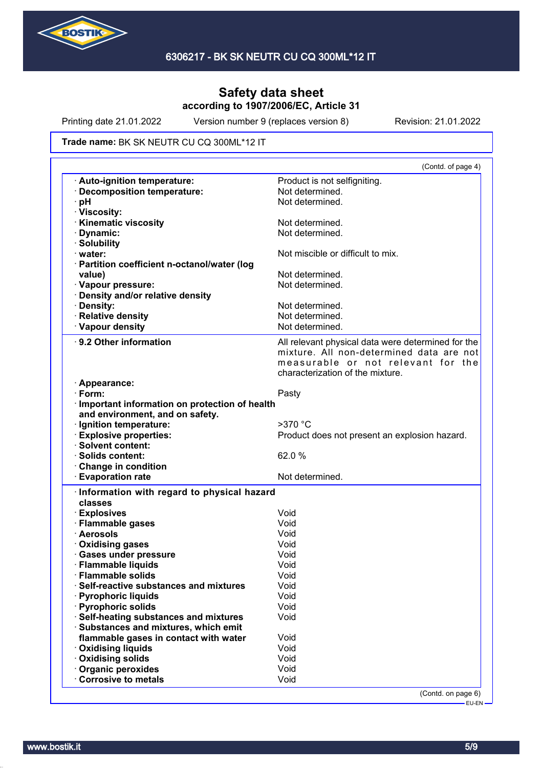

Printing date 21.01.2022 Version number 9 (replaces version 8) Revision: 21.01.2022

#### Trade name: BK SK NEUTR CU CQ 300ML\*12 IT

|                                                                                                                                                                                                                                                                                                                         | (Contd. of page 4)                                 |
|-------------------------------------------------------------------------------------------------------------------------------------------------------------------------------------------------------------------------------------------------------------------------------------------------------------------------|----------------------------------------------------|
| · Auto-ignition temperature:                                                                                                                                                                                                                                                                                            | Product is not selfigniting.                       |
| · Decomposition temperature:                                                                                                                                                                                                                                                                                            | Not determined.                                    |
| · pH                                                                                                                                                                                                                                                                                                                    | Not determined.                                    |
| · Viscosity:                                                                                                                                                                                                                                                                                                            |                                                    |
| <b>Kinematic viscosity</b>                                                                                                                                                                                                                                                                                              | Not determined.                                    |
| · Dynamic:                                                                                                                                                                                                                                                                                                              | Not determined.                                    |
| · Solubility                                                                                                                                                                                                                                                                                                            |                                                    |
| water:                                                                                                                                                                                                                                                                                                                  | Not miscible or difficult to mix.                  |
| · Partition coefficient n-octanol/water (log                                                                                                                                                                                                                                                                            |                                                    |
| value)                                                                                                                                                                                                                                                                                                                  | Not determined.                                    |
| · Vapour pressure:                                                                                                                                                                                                                                                                                                      | Not determined.                                    |
| · Density and/or relative density                                                                                                                                                                                                                                                                                       |                                                    |
| · Density:                                                                                                                                                                                                                                                                                                              | Not determined.                                    |
| · Relative density                                                                                                                                                                                                                                                                                                      | Not determined.                                    |
| · Vapour density                                                                                                                                                                                                                                                                                                        | Not determined.                                    |
|                                                                                                                                                                                                                                                                                                                         |                                                    |
| 9.2 Other information                                                                                                                                                                                                                                                                                                   | All relevant physical data were determined for the |
|                                                                                                                                                                                                                                                                                                                         | mixture. All non-determined data are not           |
|                                                                                                                                                                                                                                                                                                                         | measurable or not relevant for the                 |
|                                                                                                                                                                                                                                                                                                                         | characterization of the mixture.                   |
| · Appearance:                                                                                                                                                                                                                                                                                                           |                                                    |
| $\cdot$ Form:                                                                                                                                                                                                                                                                                                           | Pasty                                              |
| Important information on protection of health                                                                                                                                                                                                                                                                           |                                                    |
| and environment, and on safety.                                                                                                                                                                                                                                                                                         |                                                    |
| · Ignition temperature:                                                                                                                                                                                                                                                                                                 | $>370$ °C                                          |
| <b>Explosive properties:</b>                                                                                                                                                                                                                                                                                            | Product does not present an explosion hazard.      |
| · Solvent content:                                                                                                                                                                                                                                                                                                      |                                                    |
| · Solids content:                                                                                                                                                                                                                                                                                                       | 62.0%                                              |
| Change in condition                                                                                                                                                                                                                                                                                                     |                                                    |
|                                                                                                                                                                                                                                                                                                                         |                                                    |
| <b>Evaporation rate</b>                                                                                                                                                                                                                                                                                                 | Not determined.                                    |
| Information with regard to physical hazard                                                                                                                                                                                                                                                                              |                                                    |
| classes                                                                                                                                                                                                                                                                                                                 |                                                    |
| · Explosives                                                                                                                                                                                                                                                                                                            | Void                                               |
|                                                                                                                                                                                                                                                                                                                         | Void                                               |
|                                                                                                                                                                                                                                                                                                                         | Void                                               |
|                                                                                                                                                                                                                                                                                                                         | Void                                               |
|                                                                                                                                                                                                                                                                                                                         | Void                                               |
|                                                                                                                                                                                                                                                                                                                         | Void                                               |
| <b>Flammable solids</b>                                                                                                                                                                                                                                                                                                 | Void                                               |
|                                                                                                                                                                                                                                                                                                                         | Void                                               |
|                                                                                                                                                                                                                                                                                                                         | Void                                               |
|                                                                                                                                                                                                                                                                                                                         | Void                                               |
|                                                                                                                                                                                                                                                                                                                         | Void                                               |
|                                                                                                                                                                                                                                                                                                                         |                                                    |
|                                                                                                                                                                                                                                                                                                                         |                                                    |
| · Flammable gases<br>· Aerosols<br>Oxidising gases<br>· Gases under pressure<br>· Flammable liquids<br>Self-reactive substances and mixtures<br>· Pyrophoric liquids<br>· Pyrophoric solids<br>· Self-heating substances and mixtures<br>· Substances and mixtures, which emit<br>flammable gases in contact with water | Void                                               |
| · Oxidising liquids                                                                                                                                                                                                                                                                                                     | Void<br>Void                                       |
| Oxidising solids<br>Organic peroxides                                                                                                                                                                                                                                                                                   | Void                                               |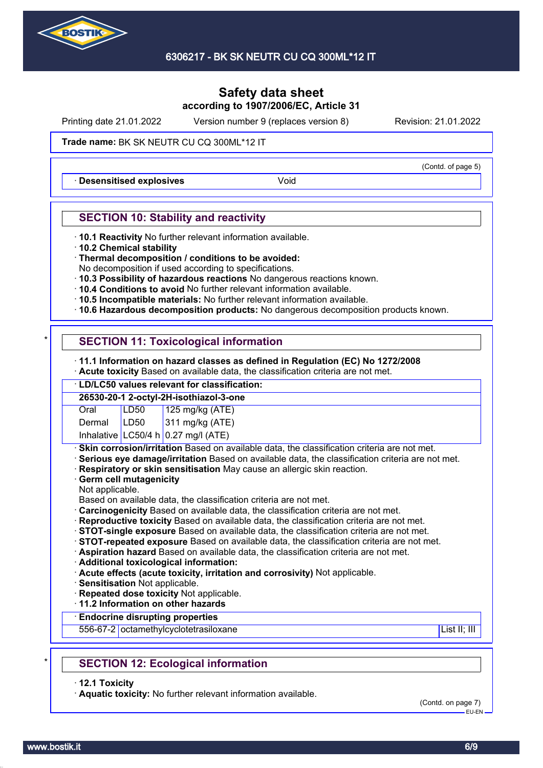

Printing date 21.01.2022 Version number 9 (replaces version 8) Revision: 21.01.2022

#### Trade name: BK SK NEUTR CU CQ 300ML\*12 IT

**Desensitised explosives Void** 

### **SECTION 10: Stability and reactivity**

- · **10.1 Reactivity** No further relevant information available.
- · **10.2 Chemical stability**
- · **Thermal decomposition / conditions to be avoided:**
- No decomposition if used according to specifications.
- · **10.3 Possibility of hazardous reactions** No dangerous reactions known.
- · **10.4 Conditions to avoid** No further relevant information available.
- · **10.5 Incompatible materials:** No further relevant information available.
- · **10.6 Hazardous decomposition products:** No dangerous decomposition products known.

# **SECTION 11: Toxicological information**

- · **11.1 Information on hazard classes as defined in Regulation (EC) No 1272/2008**
- · **Acute toxicity** Based on available data, the classification criteria are not met.

# · **LD/LC50 values relevant for classification:**

|        |      | 26530-20-1 2-octyl-2H-isothiazol-3-one |
|--------|------|----------------------------------------|
| Oral   | LD50 |                                        |
| Dermal | LD50 | 125 mg/kg (ATE)<br>311 mg/kg (ATE)     |
|        |      | Inhalative LC50/4 h 0.27 mg/l (ATE)    |

**Skin corrosion/irritation** Based on available data, the classification criteria are not met.

- · **Serious eye damage/irritation** Based on available data, the classification criteria are not met.
- · **Respiratory or skin sensitisation** May cause an allergic skin reaction.
- · **Germ cell mutagenicity**
- Not applicable.

Based on available data, the classification criteria are not met.

- · **Carcinogenicity** Based on available data, the classification criteria are not met.
- · **Reproductive toxicity** Based on available data, the classification criteria are not met.
- · **STOT-single exposure** Based on available data, the classification criteria are not met.
- · **STOT-repeated exposure** Based on available data, the classification criteria are not met.

· **Aspiration hazard** Based on available data, the classification criteria are not met.

- · **Additional toxicological information:**
- · **Acute effects (acute toxicity, irritation and corrosivity)** Not applicable.
- · **Sensitisation** Not applicable.
- · **Repeated dose toxicity** Not applicable.

· **11.2 Information on other hazards**

### · **Endocrine disrupting properties**

556-67-2 octamethylcyclotetrasiloxane List II; III in the List II; III in the List II; III in the List II; III

# **SECTION 12: Ecological information**

· **12.1 Toxicity**

· **Aquatic toxicity:** No further relevant information available.

(Contd. on page 7) EU-EN

(Contd. of page 5)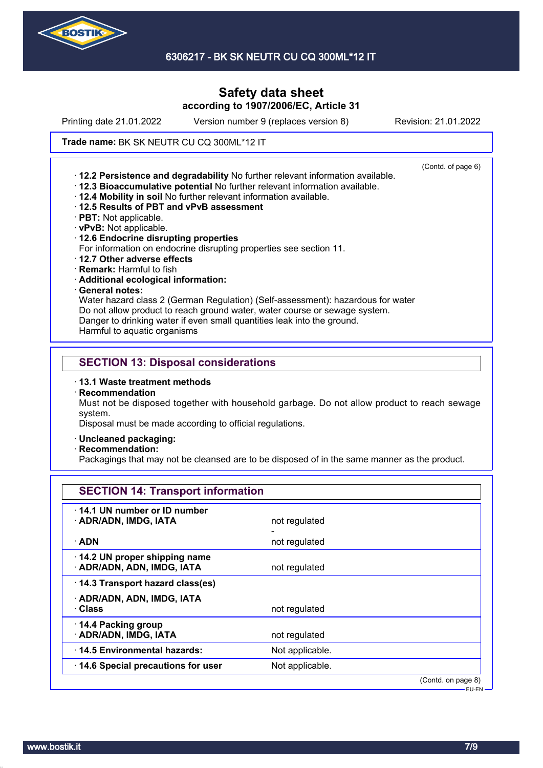

Printing date 21.01.2022 Version number 9 (replaces version 8) Revision: 21.01.2022

#### Trade name: BK SK NEUTR CU CQ 300ML\*12 IT

(Contd. of page 6) · **12.2 Persistence and degradability** No further relevant information available. · **12.3 Bioaccumulative potential** No further relevant information available. · **12.4 Mobility in soil** No further relevant information available. · **12.5 Results of PBT and vPvB assessment** · **PBT:** Not applicable. · **vPvB:** Not applicable. · **12.6 Endocrine disrupting properties** For information on endocrine disrupting properties see section 11. · **12.7 Other adverse effects** · **Remark:** Harmful to fish · **Additional ecological information:** · **General notes:** Water hazard class 2 (German Regulation) (Self-assessment): hazardous for water Do not allow product to reach ground water, water course or sewage system. Danger to drinking water if even small quantities leak into the ground. Harmful to aquatic organisms **SECTION 13: Disposal considerations** · **13.1 Waste treatment methods** · **Recommendation**

Must not be disposed together with household garbage. Do not allow product to reach sewage system.

Disposal must be made according to official regulations.

- · **Uncleaned packaging:**
- · **Recommendation:**

Packagings that may not be cleansed are to be disposed of in the same manner as the product.

| <b>SECTION 14: Transport information</b>                   |                 |                    |
|------------------------------------------------------------|-----------------|--------------------|
| 14.1 UN number or ID number<br>· ADR/ADN, IMDG, IATA       | not regulated   |                    |
| $\cdot$ ADN                                                | not regulated   |                    |
| 14.2 UN proper shipping name<br>· ADR/ADN, ADN, IMDG, IATA | not regulated   |                    |
| 14.3 Transport hazard class(es)                            |                 |                    |
| · ADR/ADN, ADN, IMDG, IATA<br>· Class                      | not regulated   |                    |
| 14.4 Packing group<br>· ADR/ADN, IMDG, IATA                | not regulated   |                    |
| 14.5 Environmental hazards:                                | Not applicable. |                    |
| 14.6 Special precautions for user                          | Not applicable. |                    |
|                                                            |                 | (Contd. on page 8) |

EU-EN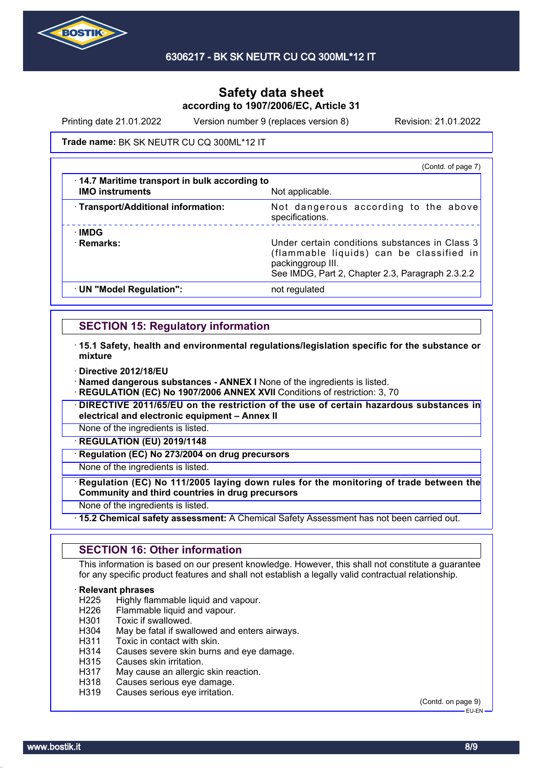

Printing date 21.01.2022 Version number 9 (replaces version 8) Revision: 21.01.2022

#### Trade name: BK SK NEUTR CU CQ 300ML\*12 IT

|                                                                        | (Contd. of page 7)                                                                                                                                                  |
|------------------------------------------------------------------------|---------------------------------------------------------------------------------------------------------------------------------------------------------------------|
| 14.7 Maritime transport in bulk according to<br><b>IMO instruments</b> | Not applicable.                                                                                                                                                     |
| · Transport/Additional information:                                    | Not dangerous according to the above<br>specifications.                                                                                                             |
| <b>IMDG</b><br>· Remarks:                                              | Under certain conditions substances in Class 3<br>(flammable liquids) can be classified in<br>packinggroup III.<br>See IMDG, Part 2, Chapter 2.3, Paragraph 2.3.2.2 |
| · UN "Model Regulation":                                               | not regulated                                                                                                                                                       |

# **SECTION 15: Regulatory information**

- · **15.1 Safety, health and environmental regulations/legislation specific for the substance or mixture**
- · **Directive 2012/18/EU**

· **Named dangerous substances - ANNEX I** None of the ingredients is listed.

**REGULATION (EC) No 1907/2006 ANNEX XVII** Conditions of restriction: 3, 70

· **DIRECTIVE 2011/65/EU on the restriction of the use of certain hazardous substances in electrical and electronic equipment – Annex II**

None of the ingredients is listed.

· **REGULATION (EU) 2019/1148**

**Regulation (EC) No 273/2004 on drug precursors** 

None of the ingredients is listed.

· **Regulation (EC) No 111/2005 laying down rules for the monitoring of trade between the Community and third countries in drug precursors**

None of the ingredients is listed.

· **15.2 Chemical safety assessment:** A Chemical Safety Assessment has not been carried out.

### **SECTION 16: Other information**

This information is based on our present knowledge. However, this shall not constitute a guarantee for any specific product features and shall not establish a legally valid contractual relationship.

# **Relevant phrases**<br>H225 Highly flar

Highly flammable liquid and vapour.

- H226 Flammable liquid and vapour.
- H301 Toxic if swallowed.
- H304 May be fatal if swallowed and enters airways.
- H311 Toxic in contact with skin.
- H314 Causes severe skin burns and eye damage.<br>H315 Causes skin irritation.
- Causes skin irritation.
- H317 May cause an allergic skin reaction.
- H318 Causes serious eye damage.
- H319 Causes serious eye irritation.

(Contd. on page 9) EU-EN